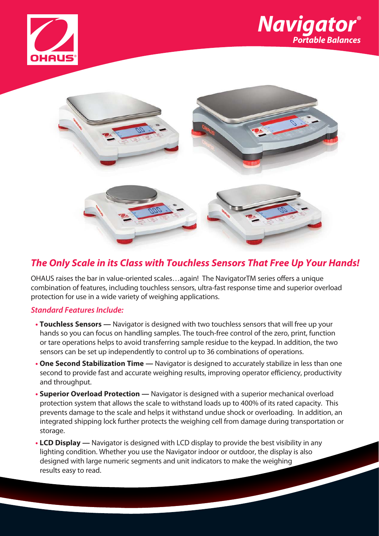





# **The Only Scale in its Class with Touchless Sensors That Free Up Your Hands!**

OHAUS raises the bar in value-oriented scales…again! The NavigatorTM series offers a unique combination of features, including touchless sensors, ultra-fast response time and superior overload protection for use in a wide variety of weighing applications.

# **Standard Features Include:**

- **Touchless Sensors** Navigator is designed with two touchless sensors that will free up your hands so you can focus on handling samples. The touch-free control of the zero, print, function or tare operations helps to avoid transferring sample residue to the keypad. In addition, the two sensors can be set up independently to control up to 36 combinations of operations.
- **One Second Stabilization Time** Navigator is designed to accurately stabilize in less than one second to provide fast and accurate weighing results, improving operator efficiency, productivity and throughput.
- **Superior Overload Protection** Navigator is designed with a superior mechanical overload protection system that allows the scale to withstand loads up to 400% of its rated capacity. This prevents damage to the scale and helps it withstand undue shock or overloading. In addition, an integrated shipping lock further protects the weighing cell from damage during transportation or storage.
- **• LCD Display** Navigator is designed with LCD display to provide the best visibility in any lighting condition. Whether you use the Navigator indoor or outdoor, the display is also designed with large numeric segments and unit indicators to make the weighing results easy to read.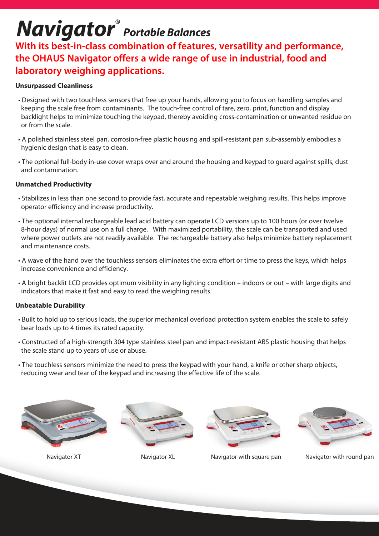# **Navigator**® **Portable Balances**

**With its best-in-class combination of features, versatility and performance, the OHAUS Navigator offers a wide range of use in industrial, food and laboratory weighing applications.** 

# **Unsurpassed Cleanliness**

- Designed with two touchless sensors that free up your hands, allowing you to focus on handling samples and keeping the scale free from contaminants. The touch-free control of tare, zero, print, function and display backlight helps to minimize touching the keypad, thereby avoiding cross-contamination or unwanted residue on or from the scale.
- A polished stainless steel pan, corrosion-free plastic housing and spill-resistant pan sub-assembly embodies a hygienic design that is easy to clean.
- The optional full-body in-use cover wraps over and around the housing and keypad to guard against spills, dust and contamination.

# **Unmatched Productivity**

- Stabilizes in less than one second to provide fast, accurate and repeatable weighing results. This helps improve operator efficiency and increase productivity.
- The optional internal rechargeable lead acid battery can operate LCD versions up to 100 hours (or over twelve 8-hour days) of normal use on a full charge. With maximized portability, the scale can be transported and used where power outlets are not readily available. The rechargeable battery also helps minimize battery replacement and maintenance costs.
- A wave of the hand over the touchless sensors eliminates the extra effort or time to press the keys, which helps increase convenience and efficiency.
- A bright backlit LCD provides optimum visibility in any lighting condition indoors or out with large digits and indicators that make it fast and easy to read the weighing results.

# **Unbeatable Durability**

- Built to hold up to serious loads, the superior mechanical overload protection system enables the scale to safely bear loads up to 4 times its rated capacity.
- Constructed of a high-strength 304 type stainless steel pan and impact-resistant ABS plastic housing that helps the scale stand up to years of use or abuse.
- The touchless sensors minimize the need to press the keypad with your hand, a knife or other sharp objects, reducing wear and tear of the keypad and increasing the effective life of the scale.







Navigator XT Navigator XL Navigator with square pan Navigator with round pan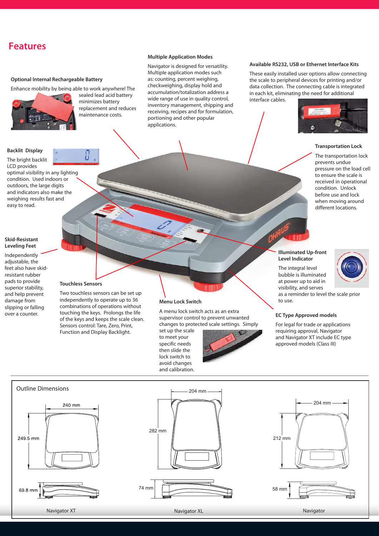# **Features**

### **Optional Internal Rechargeable Battery**

Enhance mobility by being able to work anywhere! The



optimal visibility in any lighting condition. Used indoors or outdoors, the large digits and indicators also make the weighing results fast and

sealed lead acid battery minimizes battery replacement and reduces maintenance costs.

#### **Multiple Application Modes**

Navigator is designed for versatility. Multiple application modes such as: counting, percent weighing, checkweighing, display hold and accumulation/totalization address a wide range of use in quality control, inventory management, shipping and receiving, recipes and for formulation, portioning and other popular applications.

### **Available RS232, USB or Ethernet Interface Kits**

These easily installed user options allow connecting the scale to peripheral devices for printing and/or data collection. The connecting cable is integrated in each kit, eliminating the need for additional interface cables.



### **Transportation Lock**

The transportation lock prevents undue pressure on the load cell to ensure the scale is received in operational condition. Unlock before use and lock when moving around different locations.

### **Skid-Resistant Leveling Feet**

easy to read.

**Backlit Display** The bright backlit LCD provides

Independently adjustable, the feet also have skidresistant rubber pads to provide superior stability, and help prevent damage from slipping or falling over a counter.

### **Touchless Sensors**

Two touchless sensors can be set up independently to operate up to 36 combinations of operations without touching the keys. Prolongs the life of the keys and keeps the scale clean. Sensors control: Tare, Zero, Print, Function and Display Backlight.

#### **Menu Lock Switch**

A menu lock switch acts as an extra supervisor control to prevent unwanted changes to protected scale settings. Simply

set up the scale to meet your specific needs then slide the lock switch to avoid changes and calibration.



### **Illuminated Up-front Level Indicator**

The integral level bubble is illuminated



at power up to aid in visibility, and serves as a reminder to level the scale prior to use.

### **EC Type Approved models**

For legal for trade or applications requiring approval, Navigator and Navigator XT include EC type approved models (Class III)

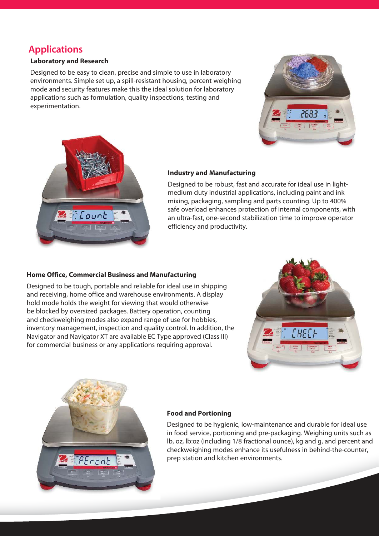# **Applications**

# **Laboratory and Research**

Designed to be easy to clean, precise and simple to use in laboratory environments. Simple set up, a spill-resistant housing, percent weighing mode and security features make this the ideal solution for laboratory applications such as formulation, quality inspections, testing and experimentation.





# **Industry and Manufacturing**

Designed to be robust, fast and accurate for ideal use in lightmedium duty industrial applications, including paint and ink mixing, packaging, sampling and parts counting. Up to 400% safe overload enhances protection of internal components, with an ultra-fast, one-second stabilization time to improve operator efficiency and productivity.

## **Home Office, Commercial Business and Manufacturing**

Designed to be tough, portable and reliable for ideal use in shipping and receiving, home office and warehouse environments. A display hold mode holds the weight for viewing that would otherwise be blocked by oversized packages. Battery operation, counting and checkweighing modes also expand range of use for hobbies, inventory management, inspection and quality control. In addition, the Navigator and Navigator XT are available EC Type approved (Class III) for commercial business or any applications requiring approval.





# **Food and Portioning**

Designed to be hygienic, low-maintenance and durable for ideal use in food service, portioning and pre-packaging. Weighing units such as lb, oz, lb:oz (including 1/8 fractional ounce), kg and g, and percent and checkweighing modes enhance its usefulness in behind-the-counter, prep station and kitchen environments.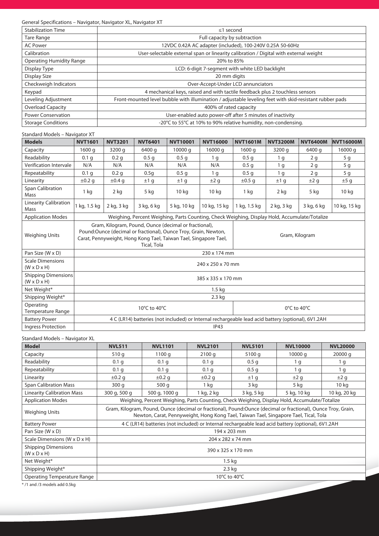General Specifications – Navigator, Navigator XL, Navigator XT

| <b>Stabilization Time</b>       | $\leq$ 1 second                                                                                         |
|---------------------------------|---------------------------------------------------------------------------------------------------------|
| Tare Range                      | Full capacity by subtraction                                                                            |
| <b>AC Power</b>                 | 12VDC 0.42A AC adapter (included), 100-240V 0.25A 50-60Hz                                               |
| Calibration                     | User-selectable external span or linearity calibration / Digital with external weight                   |
| <b>Operating Humidity Range</b> | 20% to 85%                                                                                              |
| Display Type                    | LCD: 6-digit 7-segment with white LED backlight                                                         |
| Display Size                    | 20 mm digits                                                                                            |
| Checkweigh Indicators           | Over-Accept-Under LCD annunciators                                                                      |
| Keypad                          | 4 mechanical keys, raised and with tactile feedback plus 2 touchless sensors                            |
| Leveling Adjustment             | Front-mounted level bubble with illumination / adjustable leveling feet with skid-resistant rubber pads |
| <b>Overload Capacity</b>        | 400% of rated capacity                                                                                  |
| <b>Power Conservation</b>       | User-enabled auto power-off after 5 minutes of inactivity                                               |
| <b>Storage Conditions</b>       | -20°C to 55°C at 10% to 90% relative humidity, non-condensing.                                          |

### Standard Models – Navigator XT

| <b>Models</b>                                      | <b>NVT1601</b>                                                                                                                                                                                              | <b>NVT3201</b>   | <b>NVT6401</b>   | <b>NVT10001</b>  | <b>NVT16000</b>  | <b>NVT1601M</b>  | <b>NVT3200M</b> | <b>NVT6400M</b> | <b>NVT16000M</b> |
|----------------------------------------------------|-------------------------------------------------------------------------------------------------------------------------------------------------------------------------------------------------------------|------------------|------------------|------------------|------------------|------------------|-----------------|-----------------|------------------|
| Capacity                                           | 1600 g                                                                                                                                                                                                      | 3200 g           | 6400 g           | 10000 g          | 16000 g          | 1600 g           | 3200 g          | 6400 g          | 16000 g          |
| Readability                                        | 0.1 <sub>q</sub>                                                                                                                                                                                            | 0.2 <sub>q</sub> | 0.5 <sub>q</sub> | 0.5 <sub>q</sub> | 1 <sub>q</sub>   | 0.5 <sub>q</sub> | 1 <sub>q</sub>  | 2 <sub>g</sub>  | 5 g              |
| Verification Intervale                             | N/A                                                                                                                                                                                                         | N/A              | N/A              | N/A              | N/A              | 0.5 <sub>q</sub> | 1 <sub>q</sub>  | 2 <sub>g</sub>  | 5 <sub>g</sub>   |
| Repeatability                                      | 0.1 <sub>q</sub>                                                                                                                                                                                            | 0.2 <sub>q</sub> | 0.5q             | 0.5 <sub>q</sub> | 1 <sub>q</sub>   | 0.5 <sub>q</sub> | 1 <sub>q</sub>  | 2 <sub>g</sub>  | 5 <sub>g</sub>   |
| Linearity                                          | $\pm 0.2$ g                                                                                                                                                                                                 | $\pm 0.4$ q      | ±1q              | ±1q              | ±2q              | $\pm 0.5$ q      | ±1q             | ±2 g            | ±5 g             |
| Span Calibration<br>Mass                           | 1 <sub>ka</sub>                                                                                                                                                                                             | 2 <sub>ka</sub>  | 5 kg             | 10 <sub>kg</sub> | 10 <sub>kg</sub> | 1 <sub>ka</sub>  | 2 <sub>ka</sub> | 5 kg            | 10 <sub>kg</sub> |
| <b>Linearity Calibration</b><br>Mass               | 1 kg, 1.5 kg                                                                                                                                                                                                | 2 kg, 3 kg       | 3 kg, 6 kg       | 5 kg, 10 kg      | 10 kg, 15 kg     | 1 kg, 1.5 kg     | 2 kg, 3 kg      | 3 kg, 6 kg      | 10 kg, 15 kg     |
| <b>Application Modes</b>                           | Weighing, Percent Weighing, Parts Counting, Check Weighing, Display Hold, Accumulate/Totalize                                                                                                               |                  |                  |                  |                  |                  |                 |                 |                  |
| <b>Weighing Units</b>                              | Gram, Kilogram, Pound, Ounce (decimal or fractional),<br>Pound:Ounce (decimal or fractional), Ounce Troy, Grain, Newton,<br>Carat, Pennyweight, Hong Kong Tael, Taiwan Tael, Singapore Tael,<br>Tical, Tola |                  |                  |                  |                  | Gram, Kilogram   |                 |                 |                  |
| Pan Size (W x D)                                   | 230 x 174 mm                                                                                                                                                                                                |                  |                  |                  |                  |                  |                 |                 |                  |
| <b>Scale Dimensions</b><br>$(W \times D \times H)$ | 240 x 250 x 70 mm                                                                                                                                                                                           |                  |                  |                  |                  |                  |                 |                 |                  |
| Shipping Dimensions<br>$(W \times D \times H)$     | 385 x 335 x 170 mm                                                                                                                                                                                          |                  |                  |                  |                  |                  |                 |                 |                  |
| Net Weight*                                        | 1.5 <sub>kg</sub>                                                                                                                                                                                           |                  |                  |                  |                  |                  |                 |                 |                  |
| Shipping Weight*                                   | 2.3 kg                                                                                                                                                                                                      |                  |                  |                  |                  |                  |                 |                 |                  |
| Operating<br>Temperature Range                     | 10°C to 40°C                                                                                                                                                                                                |                  |                  |                  | 0°C to 40°C      |                  |                 |                 |                  |
| <b>Battery Power</b>                               | 4 C (LR14) batteries (not included) or Internal rechargeable lead acid battery (optional), 6V1.2AH                                                                                                          |                  |                  |                  |                  |                  |                 |                 |                  |
| <b>Ingress Protection</b>                          | IP43                                                                                                                                                                                                        |                  |                  |                  |                  |                  |                 |                 |                  |

### Standard Models – Navigator XL

| <b>Model</b>                                          | <b>NVL511</b>                                                                                                                                                                                         | <b>NVL1101</b>   | <b>NVL2101</b>   | <b>NVL5101</b>   | <b>NVL10000</b> | <b>NVL20000</b>  |
|-------------------------------------------------------|-------------------------------------------------------------------------------------------------------------------------------------------------------------------------------------------------------|------------------|------------------|------------------|-----------------|------------------|
| Capacity                                              | 510 g                                                                                                                                                                                                 | 1100q            | 2100q            | 5100 g           | 10000q          | 20000 g          |
| Readability                                           | 0.1 <sub>q</sub>                                                                                                                                                                                      | 0.1 <sub>q</sub> | 0.1 <sub>q</sub> | 0.5 <sub>q</sub> | 1 g             | 1 g              |
| Repeatability                                         | 0.1 <sub>g</sub>                                                                                                                                                                                      | 0.1 g            | 0.1 <sub>q</sub> | 0.5 <sub>q</sub> | 1 <sub>q</sub>  | 1 g              |
| Linearity                                             | $\pm 0.2$ g                                                                                                                                                                                           | $\pm 0.2$ g      | $\pm 0.2$ q      | ±1q              | ±2q             | ±2 g             |
| <b>Span Calibration Mass</b>                          | 300q                                                                                                                                                                                                  | 500 g            | 1 kg             | 3 kg             | 5 kg            | 10 <sub>kg</sub> |
| <b>Linearity Calibration Mass</b>                     | 300 g, 500 g                                                                                                                                                                                          | 500 g, 1000 g    | 1 kg, 2 kg       | 3 kg, 5 kg       | 5 kg, 10 kg     | 10 kg, 20 kg     |
| <b>Application Modes</b>                              | Weighing, Percent Weighing, Parts Counting, Check Weighing, Display Hold, Accumulate/Totalize                                                                                                         |                  |                  |                  |                 |                  |
| <b>Weighing Units</b>                                 | Gram, Kilogram, Pound, Ounce (decimal or fractional), Pound:Ounce (decimal or fractional), Ounce Troy, Grain,<br>Newton, Carat, Pennyweight, Hong Kong Tael, Taiwan Tael, Singapore Tael, Tical, Tola |                  |                  |                  |                 |                  |
| <b>Battery Power</b>                                  | 4 C (LR14) batteries (not included) or Internal rechargeable lead acid battery (optional), 6V1.2AH                                                                                                    |                  |                  |                  |                 |                  |
| Pan Size (W x D)                                      | 194 x 203 mm                                                                                                                                                                                          |                  |                  |                  |                 |                  |
| Scale Dimensions (W x D x H)                          | 204 x 282 x 74 mm                                                                                                                                                                                     |                  |                  |                  |                 |                  |
| <b>Shipping Dimensions</b><br>$(W \times D \times H)$ | 390 x 325 x 170 mm                                                                                                                                                                                    |                  |                  |                  |                 |                  |
| Net Weight*                                           | $1.5 \text{ kg}$                                                                                                                                                                                      |                  |                  |                  |                 |                  |
| Shipping Weight*                                      | $2.3$ kg                                                                                                                                                                                              |                  |                  |                  |                 |                  |
| <b>Operating Temperature Range</b>                    | 10°C to 40°C                                                                                                                                                                                          |                  |                  |                  |                 |                  |
| $#$ $/1$ and $/2$ meadels and $\triangle$ Flux.       |                                                                                                                                                                                                       |                  |                  |                  |                 |                  |

\* /1 and /3 models add 0.5kg